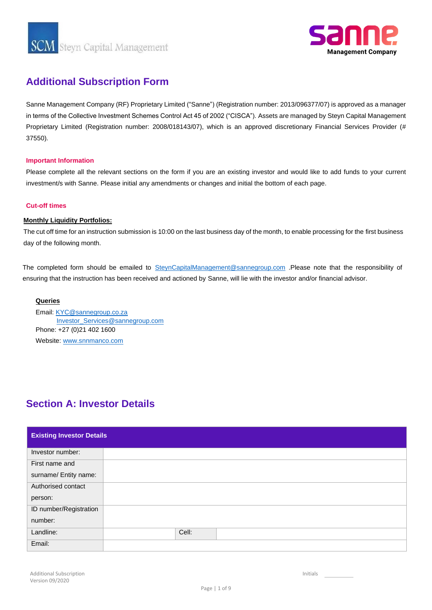

## **Additional Subscription Form**

Sanne Management Company (RF) Proprietary Limited ("Sanne") (Registration number: 2013/096377/07) is approved as a manager in terms of the Collective Investment Schemes Control Act 45 of 2002 ("CISCA"). Assets are managed by Steyn Capital Management Proprietary Limited (Registration number: 2008/018143/07), which is an approved discretionary Financial Services Provider (# 37550).

### **Important Information**

Please complete all the relevant sections on the form if you are an existing investor and would like to add funds to your current investment/s with Sanne. Please initial any amendments or changes and initial the bottom of each page.

### **Cut-off times**

### **Monthly Liquidity Portfolios:**

The cut off time for an instruction submission is 10:00 on the last business day of the month, to enable processing for the first business day of the following month.

The completed form should be emailed to SteynCapitalManagement@sannegroup.com .Please note that the responsibility of ensuring that the instruction has been received and actioned by Sanne, will lie with the investor and/or financial advisor.

### **Queries**

Email: KYC@sannegroup.co.za Investor\_Services@sannegroup.com Phone: +27 (0)21 402 1600 Website: www.snnmanco.com

# **Section A: Investor Details**

| <b>Existing Investor Details</b> |       |
|----------------------------------|-------|
| Investor number:                 |       |
| First name and                   |       |
| surname/ Entity name:            |       |
| Authorised contact               |       |
| person:                          |       |
| ID number/Registration           |       |
| number:                          |       |
| Landline:                        | Cell: |
| Email:                           |       |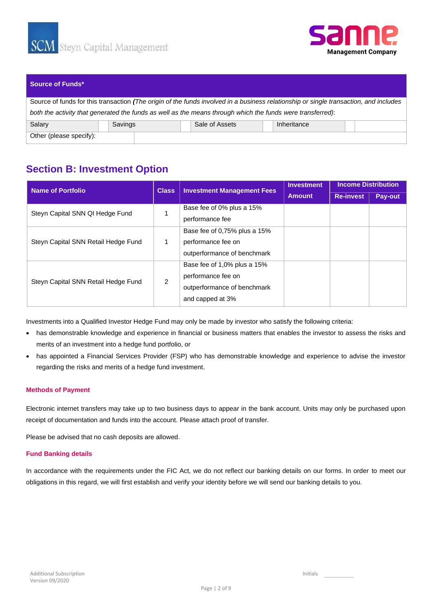



### **Source of Funds\***

Source of funds for this transaction *(The origin of the funds involved in a business relationship or single transaction, and includes both the activity that generated the funds as well as the means through which the funds were transferred)*: Salary Savings Savings Sale of Assets Inheritance Other (please specify):

## **Section B: Investment Option**

| <b>Name of Portfolio</b>            | <b>Class</b> | <b>Investment Management Fees</b> | <b>Investment</b> | <b>Income Distribution</b> |         |  |  |  |
|-------------------------------------|--------------|-----------------------------------|-------------------|----------------------------|---------|--|--|--|
|                                     |              |                                   | <b>Amount</b>     | <b>Re-invest</b>           | Pay-out |  |  |  |
| Steyn Capital SNN QI Hedge Fund     |              | Base fee of 0% plus a 15%         |                   |                            |         |  |  |  |
|                                     |              | performance fee                   |                   |                            |         |  |  |  |
|                                     |              | Base fee of 0,75% plus a 15%      |                   |                            |         |  |  |  |
| Steyn Capital SNN Retail Hedge Fund |              | performance fee on                |                   |                            |         |  |  |  |
|                                     |              | outperformance of benchmark       |                   |                            |         |  |  |  |
|                                     |              | Base fee of 1,0% plus a 15%       |                   |                            |         |  |  |  |
| Steyn Capital SNN Retail Hedge Fund | 2            | performance fee on                |                   |                            |         |  |  |  |
|                                     |              | outperformance of benchmark       |                   |                            |         |  |  |  |
|                                     |              | and capped at 3%                  |                   |                            |         |  |  |  |

Investments into a Qualified Investor Hedge Fund may only be made by investor who satisfy the following criteria:

- has demonstrable knowledge and experience in financial or business matters that enables the investor to assess the risks and merits of an investment into a hedge fund portfolio, or
- has appointed a Financial Services Provider (FSP) who has demonstrable knowledge and experience to advise the investor regarding the risks and merits of a hedge fund investment.

### **Methods of Payment**

Electronic internet transfers may take up to two business days to appear in the bank account. Units may only be purchased upon receipt of documentation and funds into the account. Please attach proof of transfer.

Please be advised that no cash deposits are allowed.

### **Fund Banking details**

In accordance with the requirements under the FIC Act, we do not reflect our banking details on our forms. In order to meet our obligations in this regard, we will first establish and verify your identity before we will send our banking details to you.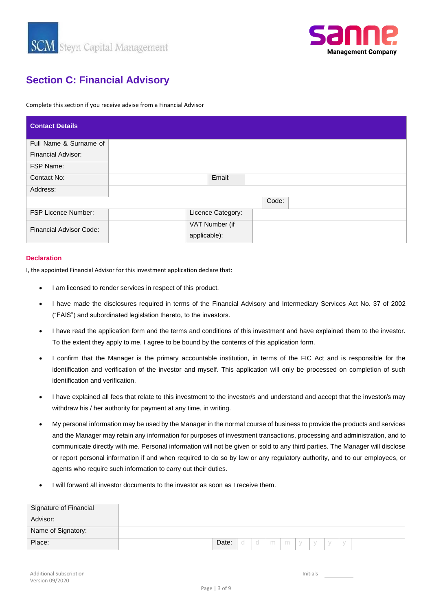



# **Section C: Financial Advisory**

Complete this section if you receive advise from a Financial Advisor

| <b>Contact Details</b>         |                   |       |  |  |
|--------------------------------|-------------------|-------|--|--|
| Full Name & Surname of         |                   |       |  |  |
| <b>Financial Advisor:</b>      |                   |       |  |  |
| FSP Name:                      |                   |       |  |  |
| Contact No:                    | Email:            |       |  |  |
| Address:                       |                   |       |  |  |
|                                |                   | Code: |  |  |
| <b>FSP Licence Number:</b>     | Licence Category: |       |  |  |
| <b>Financial Advisor Code:</b> | VAT Number (if    |       |  |  |
|                                | applicable):      |       |  |  |

### **Declaration**

I, the appointed Financial Advisor for this investment application declare that:

- I am licensed to render services in respect of this product.
- I have made the disclosures required in terms of the Financial Advisory and Intermediary Services Act No. 37 of 2002 ("FAIS") and subordinated legislation thereto, to the investors.
- I have read the application form and the terms and conditions of this investment and have explained them to the investor. To the extent they apply to me, I agree to be bound by the contents of this application form.
- I confirm that the Manager is the primary accountable institution, in terms of the FIC Act and is responsible for the identification and verification of the investor and myself. This application will only be processed on completion of such identification and verification.
- I have explained all fees that relate to this investment to the investor/s and understand and accept that the investor/s may withdraw his / her authority for payment at any time, in writing.
- My personal information may be used by the Manager in the normal course of business to provide the products and services and the Manager may retain any information for purposes of investment transactions, processing and administration, and to communicate directly with me. Personal information will not be given or sold to any third parties. The Manager will disclose or report personal information if and when required to do so by law or any regulatory authority, and to our employees, or agents who require such information to carry out their duties.
- I will forward all investor documents to the investor as soon as I receive them.

| Signature of Financial |       |   |   |   |   |  |  |  |
|------------------------|-------|---|---|---|---|--|--|--|
| Advisor:               |       |   |   |   |   |  |  |  |
| Name of Signatory:     |       |   |   |   |   |  |  |  |
| Place:                 | Date: | d | m | m | V |  |  |  |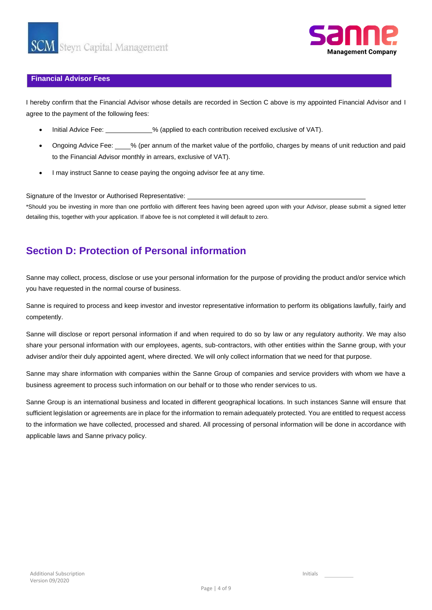

### **Financial Advisor Fees**

I hereby confirm that the Financial Advisor whose details are recorded in Section C above is my appointed Financial Advisor and I agree to the payment of the following fees:

- Initial Advice Fee: 49 (applied to each contribution received exclusive of VAT).
- Ongoing Advice Fee: % (per annum of the market value of the portfolio, charges by means of unit reduction and paid to the Financial Advisor monthly in arrears, exclusive of VAT).
- I may instruct Sanne to cease paying the ongoing advisor fee at any time.

Signature of the Investor or Authorised Representative:

\*Should you be investing in more than one portfolio with different fees having been agreed upon with your Advisor, please submit a signed letter detailing this, together with your application. If above fee is not completed it will default to zero.

## **Section D: Protection of Personal information**

Sanne may collect, process, disclose or use your personal information for the purpose of providing the product and/or service which you have requested in the normal course of business.

Sanne is required to process and keep investor and investor representative information to perform its obligations lawfully, fairly and competently.

Sanne will disclose or report personal information if and when required to do so by law or any regulatory authority. We may also share your personal information with our employees, agents, sub-contractors, with other entities within the Sanne group, with your adviser and/or their duly appointed agent, where directed. We will only collect information that we need for that purpose.

Sanne may share information with companies within the Sanne Group of companies and service providers with whom we have a business agreement to process such information on our behalf or to those who render services to us.

Sanne Group is an international business and located in different geographical locations. In such instances Sanne will ensure that sufficient legislation or agreements are in place for the information to remain adequately protected. You are entitled to request access to the information we have collected, processed and shared. All processing of personal information will be done in accordance with applicable laws and Sanne privacy policy.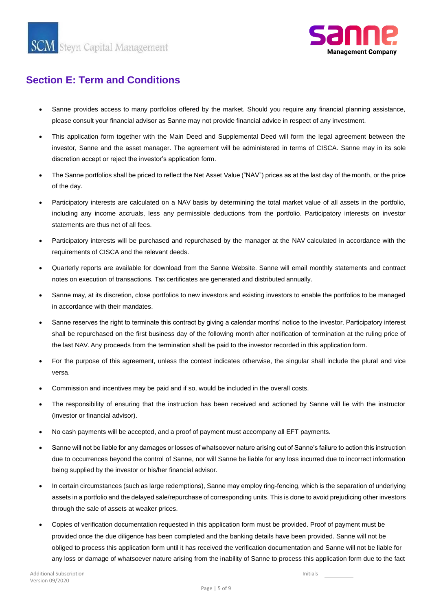

# **Section E: Term and Conditions**

- please consult your financial advisor as Sanne may not provide financial advice in respect of any investment. • Sanne provides access to many portfolios offered by the market. Should you require any financial planning assistance,
- discretion accept or reject the investor's application form. investor, Sanne and the asset manager. The agreement will be administered in terms of CISCA. Sanne may in its sole • This application form together with the Main Deed and Supplemental Deed will form the legal agreement between the
- of the day. • The Sanne portfolios shall be priced to reflect the Net Asset Value ("NAV") prices as at the last day of the month, or the price
- statements are thus net of all fees. including any income accruals, less any permissible deductions from the portfolio. Participatory interests on investor • Participatory interests are calculated on a NAV basis by determining the total market value of all assets in the portfolio,
- requirements of CISCA and the relevant deeds. • Participatory interests will be purchased and repurchased by the manager at the NAV calculated in accordance with the
- notes on execution of transactions. Tax certificates are generated and distributed annually. • Quarterly reports are available for download from the Sanne Website. Sanne will email monthly statements and contract
- in accordance with their mandates. • Sanne may, at its discretion, close portfolios to new investors and existing investors to enable the portfolios to be managed
- the last NAV. Any proceeds from the termination shall be paid to the investor recorded in this application form. shall be repurchased on the first business day of the following month after notification of termination at the ruling price of • Sanne reserves the right to terminate this contract by giving a calendar months' notice to the investor. Participatory interest
- versa. • For the purpose of this agreement, unless the context indicates otherwise, the singular shall include the plural and vice
- Commission and incentives may be paid and if so, would be included in the overall costs.
- (investor or financial advisor). • The responsibility of ensuring that the instruction has been received and actioned by Sanne will lie with the instructor
- No cash payments will be accepted, and a proof of payment must accompany all EFT payments.
- being supplied by the investor or his/her financial advisor. due to occurrences beyond the control of Sanne, nor will Sanne be liable for any loss incurred due to incorrect information • Sanne will not be liable for any damages or losses of whatsoever nature arising out of Sanne's failure to action this instruction
- through the sale of assets at weaker prices. assets in a portfolio and the delayed sale/repurchase of corresponding units. This is done to avoid prejudicing other investors • In certain circumstances (such as large redemptions), Sanne may employ ring-fencing, which is the separation of underlying
- any loss or damage of whatsoever nature arising from the inability of Sanne to process this application form due to the fact obliged to process this application form until it has received the verification documentation and Sanne will not be liable for provided once the due diligence has been completed and the banking details have been provided. Sanne will not be • Copies of verification documentation requested in this application form must be provided. Proof of payment must be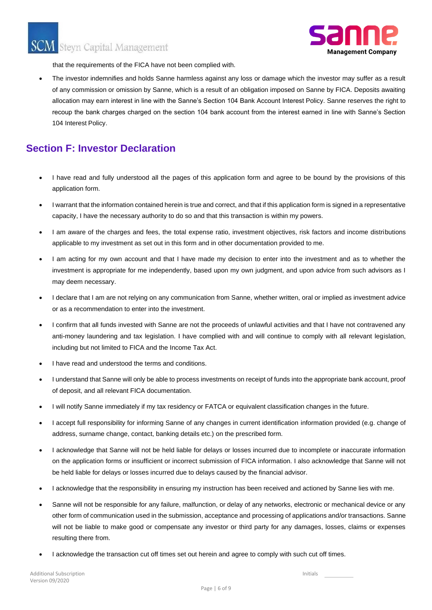

that the requirements of the FICA have not been complied with.

The investor indemnifies and holds Sanne harmless against any loss or damage which the investor may suffer as a result of any commission or omission by Sanne, which is a result of an obligation imposed on Sanne by FICA. Deposits awaiting allocation may earn interest in line with the Sanne's Section 104 Bank Account Interest Policy. Sanne reserves the right to recoup the bank charges charged on the section 104 bank account from the interest earned in line with Sanne's Section 104 Interest Policy.

### **Section F: Investor Declaration**

- I have read and fully understood all the pages of this application form and agree to be bound by the provisions of this application form.
- I warrant that the information contained herein is true and correct, and that if this application form is signed in a representative capacity, I have the necessary authority to do so and that this transaction is within my powers.
- I am aware of the charges and fees, the total expense ratio, investment objectives, risk factors and income distributions applicable to my investment as set out in this form and in other documentation provided to me.
- I am acting for my own account and that I have made my decision to enter into the investment and as to whether the investment is appropriate for me independently, based upon my own judgment, and upon advice from such advisors as I may deem necessary.
- I declare that I am are not relying on any communication from Sanne, whether written, oral or implied as investment advice or as a recommendation to enter into the investment.
- I confirm that all funds invested with Sanne are not the proceeds of unlawful activities and that I have not contravened any anti-money laundering and tax legislation. I have complied with and will continue to comply with all relevant legislation, including but not limited to FICA and the Income Tax Act.
- I have read and understood the terms and conditions.
- I understand that Sanne will only be able to process investments on receipt of funds into the appropriate bank account, proof of deposit, and all relevant FICA documentation.
- I will notify Sanne immediately if my tax residency or FATCA or equivalent classification changes in the future.
- I accept full responsibility for informing Sanne of any changes in current identification information provided (e.g. change of address, surname change, contact, banking details etc.) on the prescribed form.
- I acknowledge that Sanne will not be held liable for delays or losses incurred due to incomplete or inaccurate information on the application forms or insufficient or incorrect submission of FICA information. I also acknowledge that Sanne will not be held liable for delays or losses incurred due to delays caused by the financial advisor.
- I acknowledge that the responsibility in ensuring my instruction has been received and actioned by Sanne lies with me.
- Sanne will not be responsible for any failure, malfunction, or delay of any networks, electronic or mechanical device or any other form of communication used in the submission, acceptance and processing of applications and/or transactions. Sanne will not be liable to make good or compensate any investor or third party for any damages, losses, claims or expenses resulting there from.
- I acknowledge the transaction cut off times set out herein and agree to comply with such cut off times.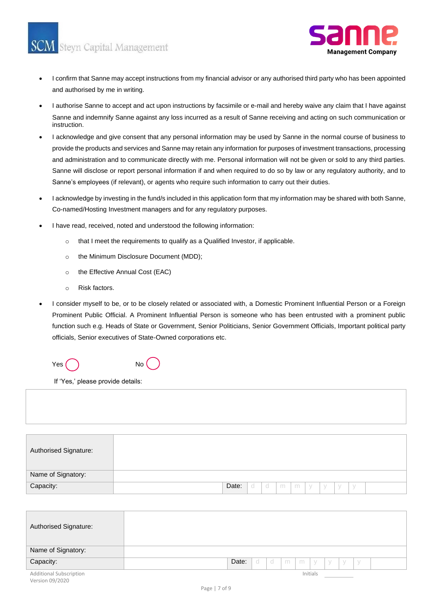

- I confirm that Sanne may accept instructions from my financial advisor or any authorised third party who has been appointed and authorised by me in writing.
- I authorise Sanne to accept and act upon instructions by facsimile or e-mail and hereby waive any claim that I have against Sanne and indemnify Sanne against any loss incurred as a result of Sanne receiving and acting on such communication or instruction.
- I acknowledge and give consent that any personal information may be used by Sanne in the normal course of business to provide the products and services and Sanne may retain any information for purposes of investment transactions, processing and administration and to communicate directly with me. Personal information will not be given or sold to any third parties. Sanne will disclose or report personal information if and when required to do so by law or any regulatory authority, and to Sanne's employees (if relevant), or agents who require such information to carry out their duties.
- I acknowledge by investing in the fund/s included in this application form that my information may be shared with both Sanne, Co-named/Hosting Investment managers and for any regulatory purposes.
- I have read, received, noted and understood the following information:
	- o that I meet the requirements to qualify as a Qualified Investor, if applicable.
	- o the Minimum Disclosure Document (MDD);
	- o the Effective Annual Cost (EAC)
	- o Risk factors.
- I consider myself to be, or to be closely related or associated with, a Domestic Prominent Influential Person or a Foreign Prominent Public Official. A Prominent Influential Person is someone who has been entrusted with a prominent public function such e.g. Heads of State or Government, Senior Politicians, Senior Government Officials, Important political party officials, Senior executives of State-Owned corporations etc.

| Yes ( | <b>No</b> |  |
|-------|-----------|--|
|-------|-----------|--|

If 'Yes,' please provide details:

| Authorised Signature: |                                             |  |
|-----------------------|---------------------------------------------|--|
| Name of Signatory:    |                                             |  |
| Capacity:             | Date:<br>$\circ$<br>m<br>m<br>Чy,<br>d<br>y |  |

| Authorised Signature:          |       |    |     |   |   |          |        |     |        |  |
|--------------------------------|-------|----|-----|---|---|----------|--------|-----|--------|--|
| Name of Signatory:             |       |    |     |   |   |          |        |     |        |  |
| Capacity:                      | Date: | -d | - d | m | m | $\vee$   | $\vee$ | - V | $\vee$ |  |
| <b>Additional Subscription</b> |       |    |     |   |   | Initials |        |     |        |  |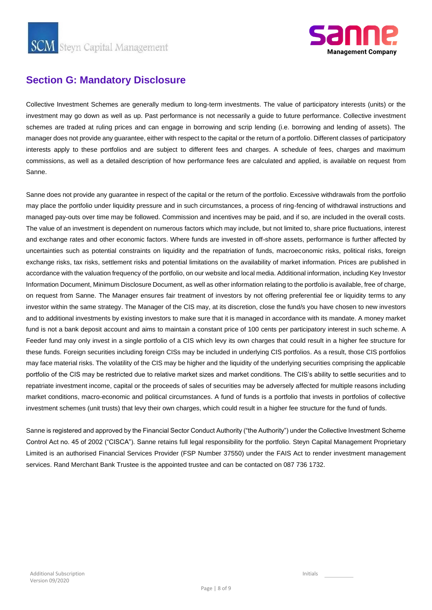

# **Section G: Mandatory Disclosure**

Collective Investment Schemes are generally medium to long-term investments. The value of participatory interests (units) or the investment may go down as well as up. Past performance is not necessarily a guide to future performance. Collective investment schemes are traded at ruling prices and can engage in borrowing and scrip lending (i.e. borrowing and lending of assets). The manager does not provide any guarantee, either with respect to the capital or the return of a portfolio. Different classes of participatory interests apply to these portfolios and are subject to different fees and charges. A schedule of fees, charges and maximum commissions, as well as a detailed description of how performance fees are calculated and applied, is available on request from Sanne.

Sanne does not provide any guarantee in respect of the capital or the return of the portfolio. Excessive withdrawals from the portfolio may place the portfolio under liquidity pressure and in such circumstances, a process of ring-fencing of withdrawal instructions and managed pay-outs over time may be followed. Commission and incentives may be paid, and if so, are included in the overall costs. The value of an investment is dependent on numerous factors which may include, but not limited to, share price fluctuations, interest and exchange rates and other economic factors. Where funds are invested in off-shore assets, performance is further affected by uncertainties such as potential constraints on liquidity and the repatriation of funds, macroeconomic risks, political risks, foreign exchange risks, tax risks, settlement risks and potential limitations on the availability of market information. Prices are published in accordance with the valuation frequency of the portfolio, on our website and local media. Additional information, including Key Investor Information Document, Minimum Disclosure Document, as well as other information relating to the portfolio is available, free of charge, on request from Sanne. The Manager ensures fair treatment of investors by not offering preferential fee or liquidity terms to any investor within the same strategy. The Manager of the CIS may, at its discretion, close the fund/s you have chosen to new investors and to additional investments by existing investors to make sure that it is managed in accordance with its mandate. A money market fund is not a bank deposit account and aims to maintain a constant price of 100 cents per participatory interest in such scheme. A Feeder fund may only invest in a single portfolio of a CIS which levy its own charges that could result in a higher fee structure for these funds. Foreign securities including foreign CISs may be included in underlying CIS portfolios. As a result, those CIS portfolios may face material risks. The volatility of the CIS may be higher and the liquidity of the underlying securities comprising the applicable portfolio of the CIS may be restricted due to relative market sizes and market conditions. The CIS's ability to settle securities and to repatriate investment income, capital or the proceeds of sales of securities may be adversely affected for multiple reasons including market conditions, macro-economic and political circumstances. A fund of funds is a portfolio that invests in portfolios of collective investment schemes (unit trusts) that levy their own charges, which could result in a higher fee structure for the fund of funds.

Sanne is registered and approved by the Financial Sector Conduct Authority ("the Authority") under the Collective Investment Scheme Control Act no. 45 of 2002 ("CISCA"). Sanne retains full legal responsibility for the portfolio. Steyn Capital Management Proprietary Limited is an authorised Financial Services Provider (FSP Number 37550) under the FAIS Act to render investment management services. Rand Merchant Bank Trustee is the appointed trustee and can be contacted on 087 736 1732.